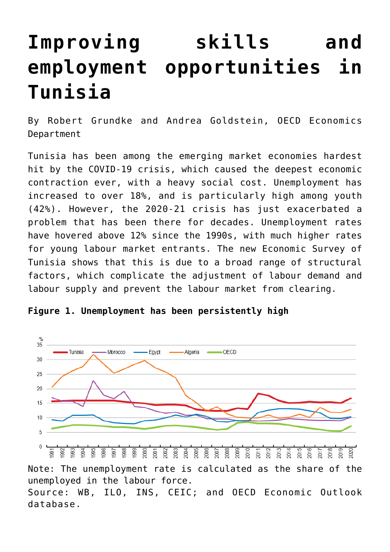## **[Improving skills and](https://oecdecoscope.blog/2022/04/04/improving-skills-and-employment-opportunities-in-tunisia/) [employment opportunities in](https://oecdecoscope.blog/2022/04/04/improving-skills-and-employment-opportunities-in-tunisia/) [Tunisia](https://oecdecoscope.blog/2022/04/04/improving-skills-and-employment-opportunities-in-tunisia/)**

By Robert Grundke and Andrea Goldstein, OECD Economics Department

Tunisia has been among the emerging market economies hardest hit by the COVID-19 crisis, which caused the deepest economic contraction ever, with a heavy social cost. Unemployment has increased to over 18%, and is particularly high among youth (42%). However, the 2020-21 crisis has just exacerbated a problem that has been there for decades. Unemployment rates have hovered above 12% since the 1990s, with much higher rates for young labour market entrants. The new [Economic Survey of](https://www.oecd.org/economy/tunisia-economic-snapshot/) [Tunisia](https://www.oecd.org/economy/tunisia-economic-snapshot/) shows that this is due to a broad range of structural factors, which complicate the adjustment of labour demand and labour supply and prevent the labour market from clearing.





Note: The unemployment rate is calculated as the share of the unemployed in the labour force. Source: WB, ILO, INS, CEIC; and OECD Economic Outlook database.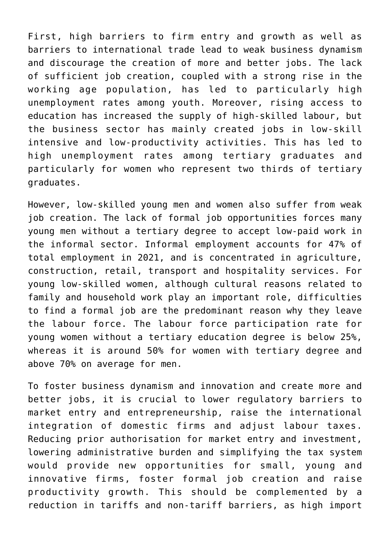First, high barriers to firm entry and growth as well as barriers to international trade lead to weak business dynamism and discourage the creation of more and better jobs. The lack of sufficient job creation, coupled with a strong rise in the working age population, has led to particularly high unemployment rates among youth. Moreover, rising access to education has increased the supply of high-skilled labour, but the business sector has mainly created jobs in low-skill intensive and low-productivity activities. This has led to high unemployment rates among tertiary graduates and particularly for women who represent two thirds of tertiary graduates.

However, low-skilled young men and women also suffer from weak job creation. The lack of formal job opportunities forces many young men without a tertiary degree to accept low-paid work in the informal sector. Informal employment accounts for 47% of total employment in 2021, and is concentrated in agriculture, construction, retail, transport and hospitality services. For young low-skilled women, although cultural reasons related to family and household work play an important role, difficulties to find a formal job are the predominant reason why they leave the labour force. The labour force participation rate for young women without a tertiary education degree is below 25%, whereas it is around 50% for women with tertiary degree and above 70% on average for men.

To foster business dynamism and innovation and create more and better jobs, it is crucial to lower regulatory barriers to market entry and entrepreneurship, raise the international integration of domestic firms and adjust labour taxes. Reducing prior authorisation for market entry and investment, lowering administrative burden and simplifying the tax system would provide new opportunities for small, young and innovative firms, foster formal job creation and raise productivity growth. This should be complemented by a reduction in tariffs and non-tariff barriers, as high import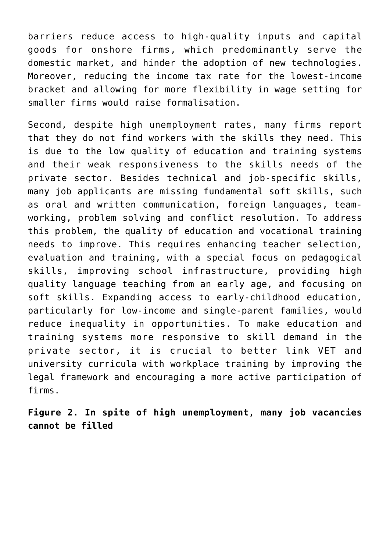barriers reduce access to high-quality inputs and capital goods for onshore firms, which predominantly serve the domestic market, and hinder the adoption of new technologies. Moreover, reducing the income tax rate for the lowest-income bracket and allowing for more flexibility in wage setting for smaller firms would raise formalisation.

Second, despite high unemployment rates, many firms report that they do not find workers with the skills they need. This is due to the low quality of education and training systems and their weak responsiveness to the skills needs of the private sector. Besides technical and job-specific skills, many job applicants are missing fundamental soft skills, such as oral and written communication, foreign languages, teamworking, problem solving and conflict resolution. To address this problem, the quality of education and vocational training needs to improve. This requires enhancing teacher selection, evaluation and training, with a special focus on pedagogical skills, improving school infrastructure, providing high quality language teaching from an early age, and focusing on soft skills. Expanding access to early-childhood education, particularly for low-income and single-parent families, would reduce inequality in opportunities. To make education and training systems more responsive to skill demand in the private sector, it is crucial to better link VET and university curricula with workplace training by improving the legal framework and encouraging a more active participation of firms.

**Figure 2. In spite of high unemployment, many job vacancies cannot be filled**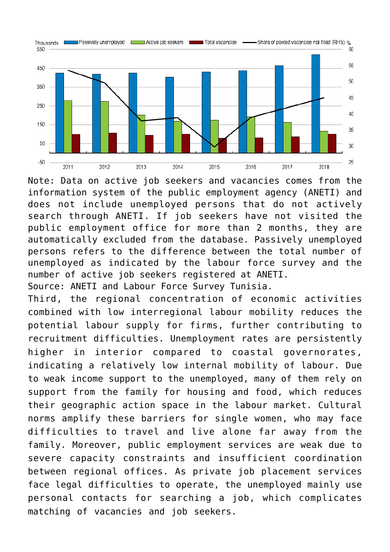

Note: Data on active job seekers and vacancies comes from the information system of the public employment agency (ANETI) and does not include unemployed persons that do not actively search through ANETI. If job seekers have not visited the public employment office for more than 2 months, they are automatically excluded from the database. Passively unemployed persons refers to the difference between the total number of unemployed as indicated by the labour force survey and the number of active job seekers registered at ANETI.

Source: ANETI and Labour Force Survey Tunisia.

Third, the regional concentration of economic activities combined with low interregional labour mobility reduces the potential labour supply for firms, further contributing to recruitment difficulties. Unemployment rates are persistently higher in interior compared to coastal governorates, indicating a relatively low internal mobility of labour. Due to weak income support to the unemployed, many of them rely on support from the family for housing and food, which reduces their geographic action space in the labour market. Cultural norms amplify these barriers for single women, who may face difficulties to travel and live alone far away from the family. Moreover, public employment services are weak due to severe capacity constraints and insufficient coordination between regional offices. As private job placement services face legal difficulties to operate, the unemployed mainly use personal contacts for searching a job, which complicates matching of vacancies and job seekers.